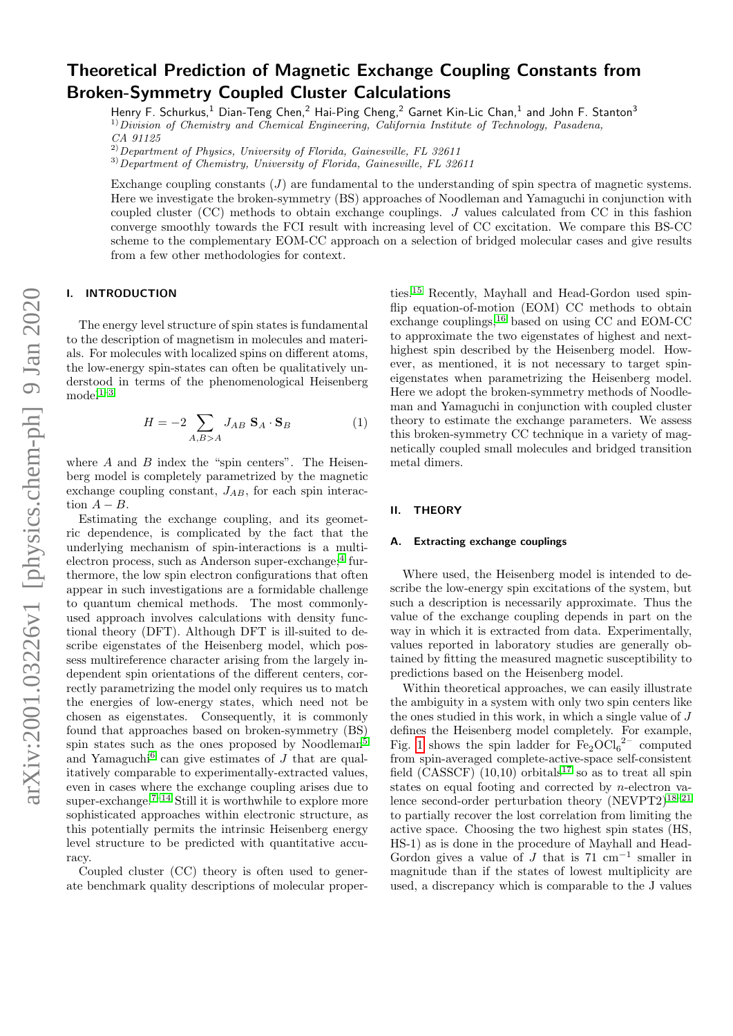# Theoretical Prediction of Magnetic Exchange Coupling Constants from Broken-Symmetry Coupled Cluster Calculations

Henry F. Schurkus,<sup>1</sup> Dian-Teng Chen,<sup>2</sup> Hai-Ping Cheng,<sup>2</sup> Garnet Kin-Lic Chan,<sup>1</sup> and John F. Stanton<sup>3</sup>  $1)$ Division of Chemistry and Chemical Engineering, California Institute of Technology, Pasadena,

CA 91125

 $^{2)}$ Department of Physics, University of Florida, Gainesville, FL 32611

 $3)$  Department of Chemistry, University of Florida, Gainesville, FL 32611

Exchange coupling constants  $(J)$  are fundamental to the understanding of spin spectra of magnetic systems. Here we investigate the broken-symmetry (BS) approaches of Noodleman and Yamaguchi in conjunction with coupled cluster (CC) methods to obtain exchange couplings. J values calculated from CC in this fashion converge smoothly towards the FCI result with increasing level of CC excitation. We compare this BS-CC scheme to the complementary EOM-CC approach on a selection of bridged molecular cases and give results from a few other methodologies for context.

## I. INTRODUCTION

The energy level structure of spin states is fundamental to the description of magnetism in molecules and materials. For molecules with localized spins on different atoms, the low-energy spin-states can often be qualitatively understood in terms of the phenomenological Heisenberg  $model<sup>1-3</sup>$  $model<sup>1-3</sup>$  $model<sup>1-3</sup>$ 

<span id="page-0-0"></span>
$$
H = -2 \sum_{A,B>A} J_{AB} \mathbf{S}_A \cdot \mathbf{S}_B \tag{1}
$$

where  $A$  and  $B$  index the "spin centers". The Heisenberg model is completely parametrized by the magnetic exchange coupling constant,  $J_{AB}$ , for each spin interaction  $A - B$ .

Estimating the exchange coupling, and its geometric dependence, is complicated by the fact that the underlying mechanism of spin-interactions is a multi-electron process, such as Anderson super-exchange;<sup>[4](#page-6-2)</sup> furthermore, the low spin electron configurations that often appear in such investigations are a formidable challenge to quantum chemical methods. The most commonlyused approach involves calculations with density functional theory (DFT). Although DFT is ill-suited to describe eigenstates of the Heisenberg model, which possess multireference character arising from the largely independent spin orientations of the different centers, correctly parametrizing the model only requires us to match the energies of low-energy states, which need not be chosen as eigenstates. Consequently, it is commonly found that approaches based on broken-symmetry (BS) spin states such as the ones proposed by Noodleman<sup>[5](#page-6-3)</sup> and Yamaguchi<sup>[6](#page-6-4)</sup> can give estimates of  $J$  that are qualitatively comparable to experimentally-extracted values, even in cases where the exchange coupling arises due to super-exchange.<sup>7-[14](#page-6-6)</sup> Still it is worthwhile to explore more sophisticated approaches within electronic structure, as this potentially permits the intrinsic Heisenberg energy level structure to be predicted with quantitative accuracy.

Coupled cluster (CC) theory is often used to generate benchmark quality descriptions of molecular properties.[15](#page-6-7) Recently, Mayhall and Head-Gordon used spinflip equation-of-motion (EOM) CC methods to obtain exchange couplings,  $16$  based on using CC and EOM-CC to approximate the two eigenstates of highest and nexthighest spin described by the Heisenberg model. However, as mentioned, it is not necessary to target spineigenstates when parametrizing the Heisenberg model. Here we adopt the broken-symmetry methods of Noodleman and Yamaguchi in conjunction with coupled cluster theory to estimate the exchange parameters. We assess this broken-symmetry CC technique in a variety of magnetically coupled small molecules and bridged transition metal dimers.

#### II. THEORY

#### A. Extracting exchange couplings

Where used, the Heisenberg model is intended to describe the low-energy spin excitations of the system, but such a description is necessarily approximate. Thus the value of the exchange coupling depends in part on the way in which it is extracted from data. Experimentally, values reported in laboratory studies are generally obtained by fitting the measured magnetic susceptibility to predictions based on the Heisenberg model.

Within theoretical approaches, we can easily illustrate the ambiguity in a system with only two spin centers like the ones studied in this work, in which a single value of  $J$ defines the Heisenberg model completely. For example, Fig. [1](#page-1-0) shows the spin ladder for  $Fe<sub>2</sub>OCl<sub>6</sub><sup>2-</sup>$  computed from spin-averaged complete-active-space self-consistent field  $(\overrightarrow{CASSCF})$   $(10,10)$  orbitals<sup>[17](#page-6-9)</sup> so as to treat all spin states on equal footing and corrected by n-electron valence second-order perturbation theory  $(NEVPT2)^{18-21}$  $(NEVPT2)^{18-21}$  $(NEVPT2)^{18-21}$ to partially recover the lost correlation from limiting the active space. Choosing the two highest spin states (HS, HS-1) as is done in the procedure of Mayhall and Head-Gordon gives a value of  $J$  that is  $71 \text{ cm}^{-1}$  smaller in magnitude than if the states of lowest multiplicity are used, a discrepancy which is comparable to the J values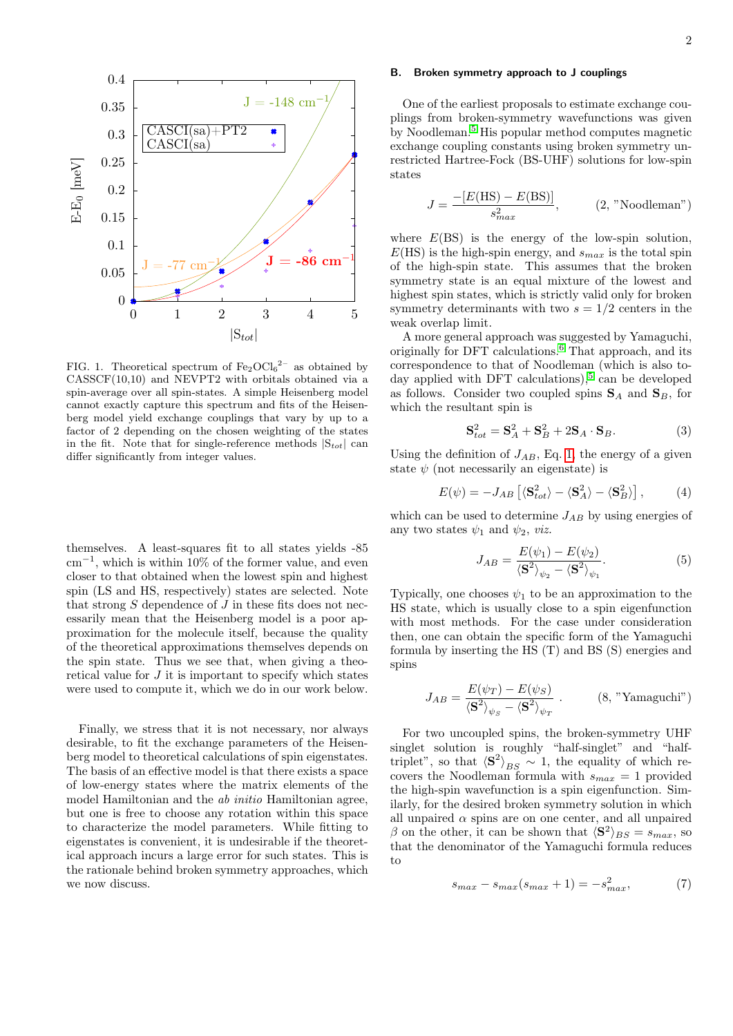

<span id="page-1-0"></span>FIG. 1. Theoretical spectrum of  $\text{Fe}_2\text{OCl}_6^2$  as obtained by CASSCF(10,10) and NEVPT2 with orbitals obtained via a spin-average over all spin-states. A simple Heisenberg model cannot exactly capture this spectrum and fits of the Heisenberg model yield exchange couplings that vary by up to a factor of 2 depending on the chosen weighting of the states in the fit. Note that for single-reference methods  $|S_{tot}|$  can differ significantly from integer values.

themselves. A least-squares fit to all states yields -85 cm<sup>−</sup><sup>1</sup> , which is within 10% of the former value, and even closer to that obtained when the lowest spin and highest spin (LS and HS, respectively) states are selected. Note that strong  $S$  dependence of  $J$  in these fits does not necessarily mean that the Heisenberg model is a poor approximation for the molecule itself, because the quality of the theoretical approximations themselves depends on the spin state. Thus we see that, when giving a theoretical value for J it is important to specify which states were used to compute it, which we do in our work below.

Finally, we stress that it is not necessary, nor always desirable, to fit the exchange parameters of the Heisenberg model to theoretical calculations of spin eigenstates. The basis of an effective model is that there exists a space of low-energy states where the matrix elements of the model Hamiltonian and the ab initio Hamiltonian agree, but one is free to choose any rotation within this space to characterize the model parameters. While fitting to eigenstates is convenient, it is undesirable if the theoretical approach incurs a large error for such states. This is the rationale behind broken symmetry approaches, which we now discuss.

## B. Broken symmetry approach to J couplings

One of the earliest proposals to estimate exchange couplings from broken-symmetry wavefunctions was given by Noodleman.[5](#page-6-3) His popular method computes magnetic exchange coupling constants using broken symmetry unrestricted Hartree-Fock (BS-UHF) solutions for low-spin states

$$
J = \frac{-[E(\text{HS}) - E(\text{BS})]}{s_{max}^2}, \qquad (2, \text{"Noodleman"})
$$

where  $E(BS)$  is the energy of the low-spin solution,  $E(HS)$  is the high-spin energy, and  $s_{max}$  is the total spin of the high-spin state. This assumes that the broken symmetry state is an equal mixture of the lowest and highest spin states, which is strictly valid only for broken symmetry determinants with two  $s = 1/2$  centers in the weak overlap limit.

A more general approach was suggested by Yamaguchi, originally for DFT calculations.[6](#page-6-4) That approach, and its correspondence to that of Noodleman (which is also to-day applied with DFT calculations),<sup>[5](#page-6-3)</sup> can be developed as follows. Consider two coupled spins  $S_A$  and  $S_B$ , for which the resultant spin is

$$
\mathbf{S}_{tot}^2 = \mathbf{S}_A^2 + \mathbf{S}_B^2 + 2\mathbf{S}_A \cdot \mathbf{S}_B. \tag{3}
$$

Using the definition of  $J_{AB}$ , Eq. [1,](#page-0-0) the energy of a given state  $\psi$  (not necessarily an eigenstate) is

$$
E(\psi) = -J_{AB} \left[ \langle \mathbf{S}_{tot}^2 \rangle - \langle \mathbf{S}_A^2 \rangle - \langle \mathbf{S}_B^2 \rangle \right],\tag{4}
$$

which can be used to determine  $J_{AB}$  by using energies of any two states  $\psi_1$  and  $\psi_2$ , *viz.* 

$$
J_{AB} = \frac{E(\psi_1) - E(\psi_2)}{\langle \mathbf{S}^2 \rangle_{\psi_2} - \langle \mathbf{S}^2 \rangle_{\psi_1}}.
$$
(5)

Typically, one chooses  $\psi_1$  to be an approximation to the HS state, which is usually close to a spin eigenfunction with most methods. For the case under consideration then, one can obtain the specific form of the Yamaguchi formula by inserting the HS (T) and BS (S) energies and spins

$$
J_{AB} = \frac{E(\psi_T) - E(\psi_S)}{\langle \mathbf{S}^2 \rangle_{\psi_S} - \langle \mathbf{S}^2 \rangle_{\psi_T}} \ . \qquad (8, \text{"Yamaguchi"})
$$

For two uncoupled spins, the broken-symmetry UHF singlet solution is roughly "half-singlet" and "halftriplet", so that  $\langle S^2 \rangle_{BS} \sim 1$ , the equality of which recovers the Noodleman formula with  $s_{max} = 1$  provided the high-spin wavefunction is a spin eigenfunction. Similarly, for the desired broken symmetry solution in which all unpaired  $\alpha$  spins are on one center, and all unpaired  $\beta$  on the other, it can be shown that  $\langle \mathbf{S}^2 \rangle_{BS} = s_{max}$ , so that the denominator of the Yamaguchi formula reduces to

$$
s_{max} - s_{max}(s_{max} + 1) = -s_{max}^2,\tag{7}
$$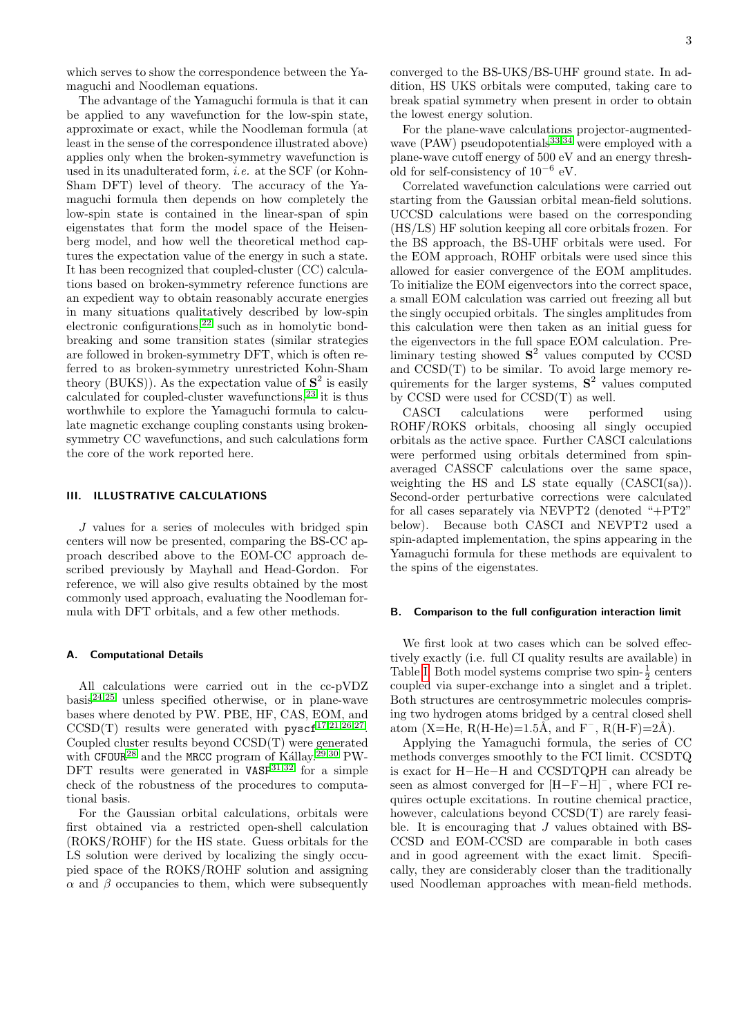which serves to show the correspondence between the Yamaguchi and Noodleman equations.

The advantage of the Yamaguchi formula is that it can be applied to any wavefunction for the low-spin state, approximate or exact, while the Noodleman formula (at least in the sense of the correspondence illustrated above) applies only when the broken-symmetry wavefunction is used in its unadulterated form, i.e. at the SCF (or Kohn-Sham DFT) level of theory. The accuracy of the Yamaguchi formula then depends on how completely the low-spin state is contained in the linear-span of spin eigenstates that form the model space of the Heisenberg model, and how well the theoretical method captures the expectation value of the energy in such a state. It has been recognized that coupled-cluster (CC) calculations based on broken-symmetry reference functions are an expedient way to obtain reasonably accurate energies in many situations qualitatively described by low-spin electronic configurations,<sup>[22](#page-6-12)</sup> such as in homolytic bondbreaking and some transition states (similar strategies are followed in broken-symmetry DFT, which is often referred to as broken-symmetry unrestricted Kohn-Sham theory (BUKS)). As the expectation value of  $S^2$  is easily calculated for coupled-cluster wavefunctions,[23](#page-6-13) it is thus worthwhile to explore the Yamaguchi formula to calculate magnetic exchange coupling constants using brokensymmetry CC wavefunctions, and such calculations form the core of the work reported here.

## III. ILLUSTRATIVE CALCULATIONS

J values for a series of molecules with bridged spin centers will now be presented, comparing the BS-CC approach described above to the EOM-CC approach described previously by Mayhall and Head-Gordon. For reference, we will also give results obtained by the most commonly used approach, evaluating the Noodleman formula with DFT orbitals, and a few other methods.

#### <span id="page-2-1"></span>A. Computational Details

All calculations were carried out in the cc-pVDZ basis[24](#page-6-14)[,25](#page-6-15) unless specified otherwise, or in plane-wave bases where denoted by PW. PBE, HF, CAS, EOM, and CCSD(T) results were generated with  $pyscf^{17,21,26,27}$  $pyscf^{17,21,26,27}$  $pyscf^{17,21,26,27}$  $pyscf^{17,21,26,27}$  $pyscf^{17,21,26,27}$  $pyscf^{17,21,26,27}$ . Coupled cluster results beyond CCSD(T) were generated with CFOUR<sup>[28](#page-7-2)</sup> and the MRCC program of Kállay.<sup>[29,](#page-7-3)[30](#page-7-4)</sup> PW-DFT results were generated in  $VASP^{31,32}$  $VASP^{31,32}$  $VASP^{31,32}$  $VASP^{31,32}$  for a simple check of the robustness of the procedures to computational basis.

For the Gaussian orbital calculations, orbitals were first obtained via a restricted open-shell calculation (ROKS/ROHF) for the HS state. Guess orbitals for the LS solution were derived by localizing the singly occupied space of the ROKS/ROHF solution and assigning  $\alpha$  and  $\beta$  occupancies to them, which were subsequently

converged to the BS-UKS/BS-UHF ground state. In addition, HS UKS orbitals were computed, taking care to break spatial symmetry when present in order to obtain the lowest energy solution.

For the plane-wave calculations projector-augmentedwave  $(PAW)$  pseudopotentials<sup>[33,](#page-7-7)[34](#page-7-8)</sup> were employed with a plane-wave cutoff energy of 500 eV and an energy threshold for self-consistency of  $10^{-6}$  eV.

Correlated wavefunction calculations were carried out starting from the Gaussian orbital mean-field solutions. UCCSD calculations were based on the corresponding (HS/LS) HF solution keeping all core orbitals frozen. For the BS approach, the BS-UHF orbitals were used. For the EOM approach, ROHF orbitals were used since this allowed for easier convergence of the EOM amplitudes. To initialize the EOM eigenvectors into the correct space, a small EOM calculation was carried out freezing all but the singly occupied orbitals. The singles amplitudes from this calculation were then taken as an initial guess for the eigenvectors in the full space EOM calculation. Preliminary testing showed  $S^2$  values computed by CCSD and CCSD(T) to be similar. To avoid large memory requirements for the larger systems,  $S<sup>2</sup>$  values computed by CCSD were used for CCSD(T) as well.

CASCI calculations were performed using ROHF/ROKS orbitals, choosing all singly occupied orbitals as the active space. Further CASCI calculations were performed using orbitals determined from spinaveraged CASSCF calculations over the same space, weighting the HS and LS state equally  $(CASCI(sa))$ . Second-order perturbative corrections were calculated for all cases separately via NEVPT2 (denoted "+PT2" below). Because both CASCI and NEVPT2 used a spin-adapted implementation, the spins appearing in the Yamaguchi formula for these methods are equivalent to the spins of the eigenstates.

#### <span id="page-2-0"></span>B. Comparison to the full configuration interaction limit

We first look at two cases which can be solved effectively exactly (i.e. full CI quality results are available) in Table [I.](#page-3-0) Both model systems comprise two spin- $\frac{1}{2}$  centers coupled via super-exchange into a singlet and a triplet. Both structures are centrosymmetric molecules comprising two hydrogen atoms bridged by a central closed shell atom (X=He,  $R(H-He)=1.5\text{\AA}$ , and  $F^-$ ,  $R(H-F)=2\text{\AA}$ ).

Applying the Yamaguchi formula, the series of CC methods converges smoothly to the FCI limit. CCSDTQ is exact for H−He−H and CCSDTQPH can already be seen as almost converged for  $[\mathrm{H}\!-\!\mathrm{F}\!-\!\mathrm{H}]^-,$  where FCI requires octuple excitations. In routine chemical practice, however, calculations beyond  $CCSD(T)$  are rarely feasible. It is encouraging that J values obtained with BS-CCSD and EOM-CCSD are comparable in both cases and in good agreement with the exact limit. Specifically, they are considerably closer than the traditionally used Noodleman approaches with mean-field methods.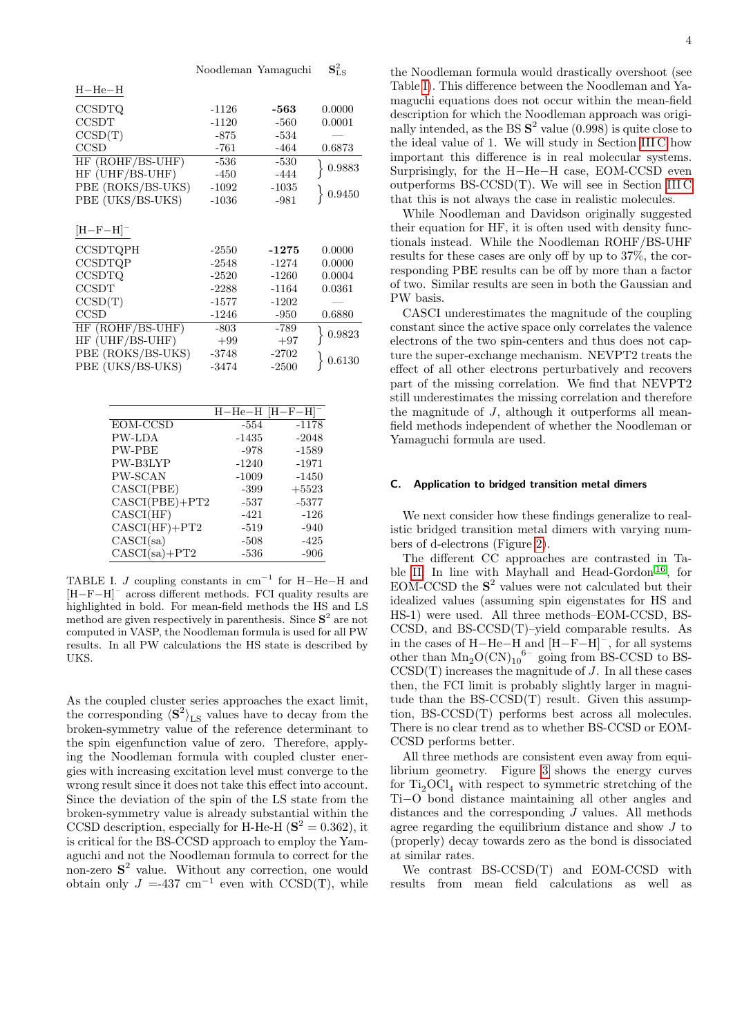|                        | Noodleman Yamaguchi |         | ${\bf S}_{\rm LS}^2$ |
|------------------------|---------------------|---------|----------------------|
| $H$ -He-H              |                     |         |                      |
| <b>CCSDTQ</b>          | $-1126$             | -563    | 0.0000               |
| <b>CCSDT</b>           | $-1120$             | $-560$  | 0.0001               |
| CCSD(T)                | -875                | $-534$  |                      |
| <b>CCSD</b>            | -761                | -464    | 0.6873               |
| HF (ROHF/BS-UHF)       | $-536$              | $-530$  |                      |
| HF (UHF/BS-UHF)        | $-450$              | -444    | $\,0.9883\,$         |
| PBE (ROKS/BS-UKS)      | $-1092$             | $-1035$ | $\{0.9450\}$         |
| PBE (UKS/BS-UKS)       | $-1036$             | $-981$  |                      |
|                        |                     |         |                      |
| $[H-F-H]$ <sup>-</sup> |                     |         |                      |
| <b>CCSDTQPH</b>        | $-2550$             | $-1275$ | 0.0000               |
| <b>CCSDTQP</b>         | $-2548$             | $-1274$ | 0.0000               |
| <b>CCSDTQ</b>          | $-2520$             | $-1260$ | 0.0004               |
| <b>CCSDT</b>           | $-2288$             | $-1164$ | 0.0361               |
| CCSD(T)                | -1577               | $-1202$ |                      |
| <b>CCSD</b>            | $-1246$             | $-950$  | 0.6880               |
| HF (ROHF/BS-UHF)       | $-803$              | $-789$  |                      |
| HF (UHF/BS-UHF)        | $+99$               | $+97$   | 0.9823               |
| PBE (ROKS/BS-UKS)      | $-3748$             | -2702   | 0.6130               |
| PBE (UKS/BS-UKS)       | -3474               | $-2500$ |                      |
|                        |                     |         |                      |

 $\mathbf{c}^2$ 

|                    |         | $H$ -He-H [H-F-H] <sup>-</sup> |
|--------------------|---------|--------------------------------|
| EOM-CCSD           | $-554$  | $-1178$                        |
| <b>PW-LDA</b>      | $-1435$ | $-2048$                        |
| PW-PBE             | $-978$  | $-1589$                        |
| PW-B3LYP           | $-1240$ | $-1971$                        |
| <b>PW-SCAN</b>     | $-1009$ | $-1450$                        |
| CASCI(PBE)         | $-399$  | $+5523$                        |
| $CASCI(PBE) + PT2$ | $-537$  | $-5377$                        |
| CASCI(HF)          | $-421$  | $-126$                         |
| $CASCI(HF) + PT2$  | $-519$  | $-940$                         |
| CASCI(sa)          | $-508$  | -425                           |
| $CASCI(sa) + PT2$  | $-536$  | $-906$                         |

<span id="page-3-0"></span>TABLE I. *J* coupling constants in  $cm^{-1}$  for H–He–H and [H−F−H]– across different methods. FCI quality results are highlighted in bold. For mean-field methods the HS and LS method are given respectively in parenthesis. Since  $S<sup>2</sup>$  are not computed in VASP, the Noodleman formula is used for all PW results. In all PW calculations the HS state is described by UKS.

As the coupled cluster series approaches the exact limit, the corresponding  $\langle S^2 \rangle_{LS}$  values have to decay from the broken-symmetry value of the reference determinant to the spin eigenfunction value of zero. Therefore, applying the Noodleman formula with coupled cluster energies with increasing excitation level must converge to the wrong result since it does not take this effect into account. Since the deviation of the spin of the LS state from the broken-symmetry value is already substantial within the CCSD description, especially for H-He-H  $(S^2 = 0.362)$ , it is critical for the BS-CCSD approach to employ the Yamaguchi and not the Noodleman formula to correct for the non-zero S 2 value. Without any correction, one would obtain only  $J = -437$  cm<sup>-1</sup> even with CCSD(T), while

the Noodleman formula would drastically overshoot (see Table [I\)](#page-3-0). This difference between the Noodleman and Yamaguchi equations does not occur within the mean-field description for which the Noodleman approach was originally intended, as the BS  $S^2$  value (0.998) is quite close to the ideal value of 1. We will study in Section [III C](#page-3-1) how important this difference is in real molecular systems. Surprisingly, for the H−He−H case, EOM-CCSD even outperforms BS-CCSD(T). We will see in Section [III C](#page-3-1) that this is not always the case in realistic molecules.

While Noodleman and Davidson originally suggested their equation for HF, it is often used with density functionals instead. While the Noodleman ROHF/BS-UHF results for these cases are only off by up to 37%, the corresponding PBE results can be off by more than a factor of two. Similar results are seen in both the Gaussian and PW basis.

CASCI underestimates the magnitude of the coupling constant since the active space only correlates the valence electrons of the two spin-centers and thus does not capture the super-exchange mechanism. NEVPT2 treats the effect of all other electrons perturbatively and recovers part of the missing correlation. We find that NEVPT2 still underestimates the missing correlation and therefore the magnitude of J, although it outperforms all meanfield methods independent of whether the Noodleman or Yamaguchi formula are used.

#### <span id="page-3-1"></span>C. Application to bridged transition metal dimers

We next consider how these findings generalize to realistic bridged transition metal dimers with varying numbers of d-electrons (Figure [2\)](#page-4-0).

The different CC approaches are contrasted in Table [II.](#page-4-1) In line with Mayhall and Head-Gordon [16](#page-6-8) , for EOM-CCSD the  $S<sup>2</sup>$  values were not calculated but their idealized values (assuming spin eigenstates for HS and HS-1) were used. All three methods–EOM-CCSD, BS-CCSD, and  $BS-CCSD(T)$ –yield comparable results. As in the cases of H−He−H and  $[H-F-H]^-$ , for all systems other than  $Mn_2O(CN)_{10}$ <sup>6-</sup> going from BS-CCSD to BS- $CCSD(T)$  increases the magnitude of  $J$ . In all these cases then, the FCI limit is probably slightly larger in magnitude than the BS-CCSD(T) result. Given this assumption, BS-CCSD(T) performs best across all molecules. There is no clear trend as to whether BS-CCSD or EOM-CCSD performs better.

All three methods are consistent even away from equilibrium geometry. Figure [3](#page-6-16) shows the energy curves for  $Ti<sub>2</sub>OCl<sub>4</sub>$  with respect to symmetric stretching of the Ti−O bond distance maintaining all other angles and distances and the corresponding  $J$  values. All methods agree regarding the equilibrium distance and show J to (properly) decay towards zero as the bond is dissociated at similar rates.

We contrast BS-CCSD(T) and EOM-CCSD with results from mean field calculations as well as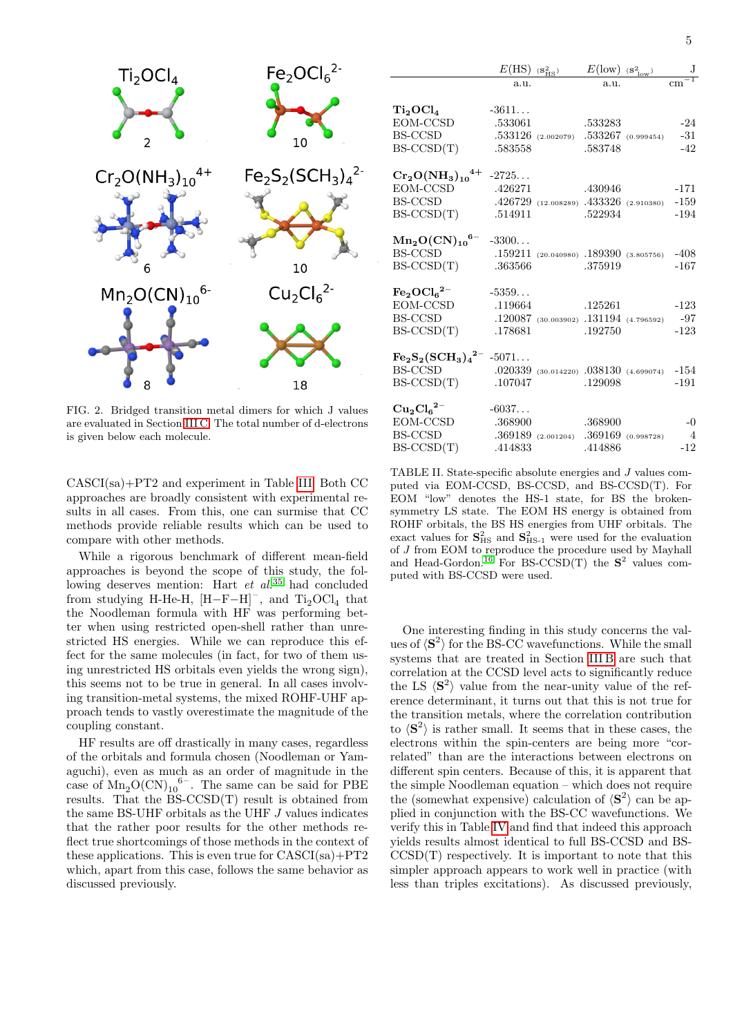

<span id="page-4-0"></span>FIG. 2. Bridged transition metal dimers for which J values are evaluated in Section [III C.](#page-3-1) The total number of d-electrons is given below each molecule.

CASCI(sa)+PT2 and experiment in Table [III.](#page-5-0) Both CC approaches are broadly consistent with experimental results in all cases. From this, one can surmise that CC methods provide reliable results which can be used to compare with other methods.

While a rigorous benchmark of different mean-field approaches is beyond the scope of this study, the following deserves mention: Hart  $et \ al^{35}$  $et \ al^{35}$  $et \ al^{35}$  had concluded from studying H-He-H,  $[H-F-H]$ <sup>-</sup>, and  $Ti<sub>2</sub>OCl<sub>4</sub>$  that the Noodleman formula with HF was performing better when using restricted open-shell rather than unrestricted HS energies. While we can reproduce this effect for the same molecules (in fact, for two of them using unrestricted HS orbitals even yields the wrong sign), this seems not to be true in general. In all cases involving transition-metal systems, the mixed ROHF-UHF approach tends to vastly overestimate the magnitude of the coupling constant.

HF results are off drastically in many cases, regardless of the orbitals and formula chosen (Noodleman or Yamaguchi), even as much as an order of magnitude in the case of  $Mn_2O(CN)_{10}$ <sup>6-</sup>. The same can be said for PBE results. That the BS-CCSD(T) result is obtained from the same BS-UHF orbitals as the UHF  $J$  values indicates that the rather poor results for the other methods reflect true shortcomings of those methods in the context of these applications. This is even true for  $CASCI(sa) + PT2$ which, apart from this case, follows the same behavior as discussed previously.

|                                                      | $E(\mathrm{HS})$ | $(s_{HS}^2)$                               | $E(\text{low})$ (s <sup>2</sup> <sub>low</sub> ) | J              |
|------------------------------------------------------|------------------|--------------------------------------------|--------------------------------------------------|----------------|
|                                                      | a.11.            |                                            | a.11.                                            |                |
|                                                      |                  |                                            |                                                  |                |
| Ti <sub>2</sub> OCl <sub>4</sub>                     | $-3611$          |                                            |                                                  |                |
| EOM-CCSD                                             | .533061          |                                            | .533283                                          | $-24$          |
| BS-CCSD                                              |                  | $.533126$ (2.002079) $.533267$ (0.999454)  |                                                  | $-31$          |
| $BS-CCSD(T)$                                         | .583558          |                                            | .583748                                          | $-42$          |
|                                                      |                  |                                            |                                                  |                |
| $\rm Cr_2O(NH_3)_{10}^{4+}$                          | $-2725$          |                                            |                                                  |                |
| EOM-CCSD                                             | .426271          |                                            | .430946                                          | $-171$         |
| <b>BS-CCSD</b>                                       |                  | $.426729$ (12.008289) $.433326$ (2.910380) |                                                  | $-159$         |
| $BS-CCSD(T)$                                         | .514911          |                                            | .522934                                          | $-194$         |
|                                                      |                  |                                            |                                                  |                |
| $\rm Mn_2O(CN)_{10}^{6-}$                            | $-3300$          |                                            |                                                  |                |
| BS-CCSD                                              |                  | $.159211$ (20.040980) $.189390$ (3.805756) |                                                  | $-408$         |
| $BS-CCSD(T)$                                         | .363566          |                                            | .375919                                          | $-167$         |
|                                                      |                  |                                            |                                                  |                |
| $\text{Fe}_2\text{OCl}_6{}^{2-}$                     | $-5359$          |                                            |                                                  |                |
| EOM-CCSD                                             | .119664          |                                            | .125261                                          | $-123$         |
| BS-CCSD                                              |                  | $.120087$ (30.003902) $.131194$ (4.796592) |                                                  | -97            |
| $BS-CCSD(T)$                                         | .178681          |                                            | .192750                                          | $-123$         |
| $\text{Fe}_2\text{S}_2(\text{SCH}_3)_4{}^{2-}$ -5071 |                  |                                            |                                                  |                |
|                                                      |                  |                                            |                                                  |                |
| BS-CCSD                                              |                  | $.020339$ (30.014220) $.038130$ (4.699074) |                                                  | $-154$         |
| $BS-CCSD(T)$                                         | .107047          |                                            | .129098                                          | $-191$         |
| $\mathrm{Cu_{2}Cl_{6}}^{2-}$                         | $-6037$          |                                            |                                                  |                |
| EOM-CCSD                                             | .368900          |                                            | .368900                                          | $-0$           |
| BS-CCSD                                              |                  | $.369189$ (2.001204) $.369169$ (0.998728)  |                                                  | $\overline{4}$ |
| $BS-CCSD(T)$                                         | .414833          |                                            | .414886                                          | $-12$          |
|                                                      |                  |                                            |                                                  |                |

<span id="page-4-1"></span>TABLE II. State-specific absolute energies and J values computed via EOM-CCSD, BS-CCSD, and BS-CCSD(T). For EOM "low" denotes the HS-1 state, for BS the brokensymmetry LS state. The EOM HS energy is obtained from ROHF orbitals, the BS HS energies from UHF orbitals. The exact values for  $S_{\text{HS}}^2$  and  $S_{\text{HS-1}}^2$  were used for the evaluation of  $J$  from EOM to reproduce the procedure used by Mayhall and Head-Gordon.<sup>[16](#page-6-8)</sup> For BS-CCSD(T) the  $S^2$  values computed with BS-CCSD were used.

One interesting finding in this study concerns the values of  $\langle S^2 \rangle$  for the BS-CC wavefunctions. While the small systems that are treated in Section [III B](#page-2-0) are such that correlation at the CCSD level acts to significantly reduce the LS  $\langle S^2 \rangle$  value from the near-unity value of the reference determinant, it turns out that this is not true for the transition metals, where the correlation contribution to  $\langle S^2 \rangle$  is rather small. It seems that in these cases, the electrons within the spin-centers are being more "correlated" than are the interactions between electrons on different spin centers. Because of this, it is apparent that the simple Noodleman equation – which does not require the (somewhat expensive) calculation of  $\langle S^2 \rangle$  can be applied in conjunction with the BS-CC wavefunctions. We verify this in Table [IV](#page-5-1) and find that indeed this approach yields results almost identical to full BS-CCSD and BS- $CCSD(T)$  respectively. It is important to note that this simpler approach appears to work well in practice (with less than triples excitations). As discussed previously,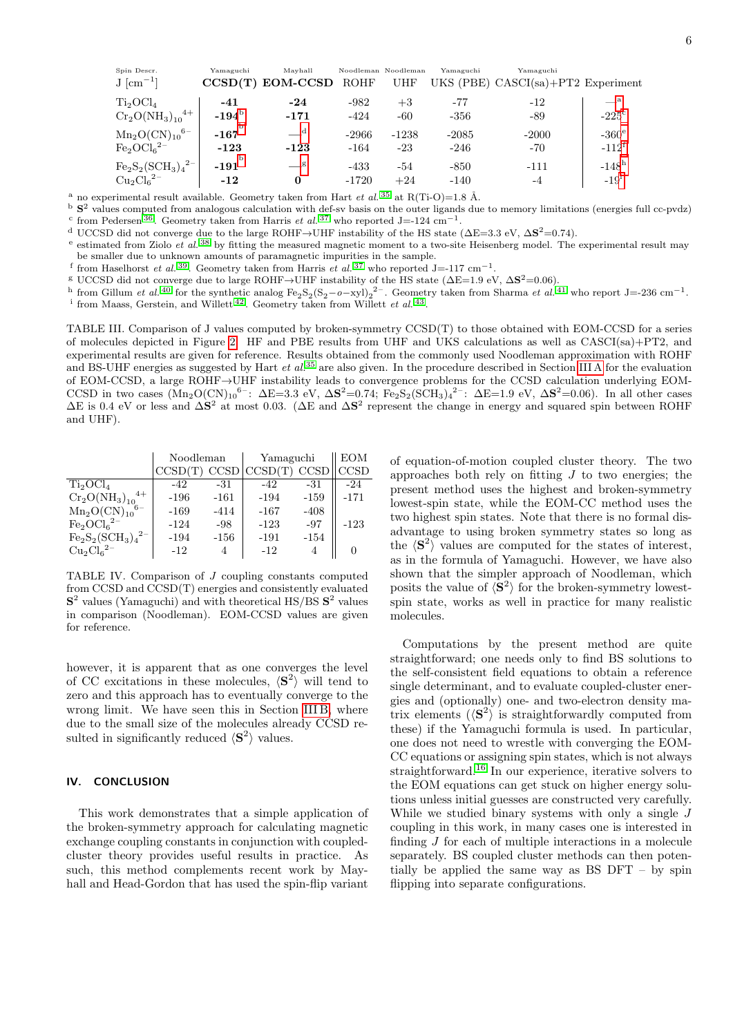| UKS (PBE) CASCI(sa)+PT2 Experiment |
|------------------------------------|
|                                    |
| $-^a$                              |
| $-225$ <sup>c</sup>                |
| $-360^\circ$                       |
| $-112^t$                           |
| $-148h$                            |
| $-191$                             |
|                                    |

<span id="page-5-2"></span><sup>a</sup> no experimental result available. Geometry taken from Hart *et al.* <sup>[35](#page-7-9)</sup> at R(Ti-O)=1.8 Å.

<span id="page-5-4"></span><span id="page-5-3"></span> $b$  S<sup>2</sup> values computed from analogous calculation with def-sv basis on the outer ligands due to memory limitations (energies full cc-pvdz) <sup>c</sup> from Pedersen<sup>[36](#page-7-10)</sup>. Geometry taken from Harris *et al.*<sup>[37](#page-7-11)</sup> who reported J=-124 cm<sup>-1</sup>.

<span id="page-5-5"></span>d UCCSD did not converge due to the large ROHF→UHF instability of the HS state ( $\Delta E = 3.3$  eV,  $\Delta S^2 = 0.74$ ).

<span id="page-5-6"></span>e estimated from Ziolo et al. [38](#page-7-12) by fitting the measured magnetic moment to a two-site Heisenberg model. The experimental result may be smaller due to unknown amounts of paramagnetic impurities in the sample.

<span id="page-5-7"></span>f from Haselhorst et al.<sup>[39](#page-7-13)</sup>. Geometry taken from Harris et al.<sup>[37](#page-7-11)</sup> who reported J=-117 cm<sup>-1</sup>.

<span id="page-5-8"></span><sup>g</sup> UCCSD did not converge due to large ROHF→UHF instability of the HS state ( $\Delta$ E=1.9 eV,  $\Delta$ S<sup>2</sup>=0.06).

<span id="page-5-9"></span>h from Gillum et al. <sup>[40](#page-7-14)</sup> for the synthetic analog  $Fe<sub>2</sub>S<sub>2</sub>(S<sub>2</sub> - o - xyl)<sub>2</sub><sup>2</sup>$ . Geometry taken from Sharma et al. <sup>[41](#page-7-15)</sup> who report J=-236 cm<sup>-1</sup>.

<span id="page-5-10"></span><sup>i</sup> from Maass, Gerstein, and Willett<sup>[42](#page-7-16)</sup>. Geometry taken from Willett *et al.*<sup>[43](#page-7-17)</sup>.

<span id="page-5-0"></span>TABLE III. Comparison of J values computed by broken-symmetry CCSD(T) to those obtained with EOM-CCSD for a series of molecules depicted in Figure [2.](#page-4-0) HF and PBE results from UHF and UKS calculations as well as CASCI(sa)+PT2, and experimental results are given for reference. Results obtained from the commonly used Noodleman approximation with ROHF and BS-UHF energies as suggested by Hart et  $al.^{35}$  $al.^{35}$  $al.^{35}$  are also given. In the procedure described in Section [III A](#page-2-1) for the evaluation of EOM-CCSD, a large ROHF→UHF instability leads to convergence problems for the CCSD calculation underlying EOM-CCSD in two cases  $(Mn_2O(CN)_{10}^{6-}$ :  $\Delta E=3.3$  eV,  $\Delta S^2=0.74$ ; Fe<sub>2</sub>S<sub>2</sub>(SCH<sub>3</sub>)<sub>4</sub><sup>2-</sup>:  $\Delta E=1.9$  eV,  $\Delta S^2=0.06$ ). In all other cases  $\Delta E$  is 0.4 eV or less and  $\Delta S^2$  at most 0.03. ( $\Delta E$  and  $\Delta S^2$  represent the change in energy and squared spin between ROHF and UHF).

| Noodleman<br>Yamaguchi                                                               | <b>EOM</b> |
|--------------------------------------------------------------------------------------|------------|
| CCSD(<br><b>CCSD</b><br>CCSD<br>CCSD(                                                | CCSD       |
| $\mathrm{Ti}_2\mathrm{OCl}_4$<br>$-42$<br>-42<br>-31<br>-31                          | -24        |
| $\rm Cr_2O(NH_3)_{10}^{4+}$<br>$-161$<br>$-159$<br>$-196$<br>$-194$                  | $-171$     |
| $Mn_2O(CN)_{10}$ <sup>6-</sup><br>$-408$<br>$-169$<br>$-414$<br>$-167$               |            |
| $\mathrm{Fe_{2}OCl_{6}}^{2-}$<br>$-97$<br>$-124$<br>$-123$<br>-98                    | $-123$     |
| $\text{Fe}_2\text{S}_2(\text{SCH}_3)_4{}^{2-}$<br>-194<br>$-156$<br>$-191$<br>$-154$ |            |
| $\mathrm{Cu_{2}Cl_{6}}^{2-}$<br>$-12$<br>$-12$                                       |            |

<span id="page-5-1"></span>TABLE IV. Comparison of J coupling constants computed from CCSD and CCSD(T) energies and consistently evaluated  $S<sup>2</sup>$  values (Yamaguchi) and with theoretical HS/BS  $S<sup>2</sup>$  values in comparison (Noodleman). EOM-CCSD values are given for reference.

however, it is apparent that as one converges the level of CC excitations in these molecules,  $\langle S^2 \rangle$  will tend to zero and this approach has to eventually converge to the wrong limit. We have seen this in Section [III B,](#page-2-0) where due to the small size of the molecules already CCSD resulted in significantly reduced  $\langle S^2 \rangle$  values.

#### IV. CONCLUSION

This work demonstrates that a simple application of the broken-symmetry approach for calculating magnetic exchange coupling constants in conjunction with coupledcluster theory provides useful results in practice. As such, this method complements recent work by Mayhall and Head-Gordon that has used the spin-flip variant

of equation-of-motion coupled cluster theory. The two approaches both rely on fitting  $J$  to two energies; the present method uses the highest and broken-symmetry lowest-spin state, while the EOM-CC method uses the two highest spin states. Note that there is no formal disadvantage to using broken symmetry states so long as the  $\langle S^2 \rangle$  values are computed for the states of interest, as in the formula of Yamaguchi. However, we have also shown that the simpler approach of Noodleman, which posits the value of  $\langle S^2 \rangle$  for the broken-symmetry lowestspin state, works as well in practice for many realistic molecules.

Computations by the present method are quite straightforward; one needs only to find BS solutions to the self-consistent field equations to obtain a reference single determinant, and to evaluate coupled-cluster energies and (optionally) one- and two-electron density matrix elements  $(\langle S^2 \rangle)$  is straightforwardly computed from these) if the Yamaguchi formula is used. In particular, one does not need to wrestle with converging the EOM-CC equations or assigning spin states, which is not always straightforward.[16](#page-6-8) In our experience, iterative solvers to the EOM equations can get stuck on higher energy solutions unless initial guesses are constructed very carefully. While we studied binary systems with only a single  $J$ coupling in this work, in many cases one is interested in finding J for each of multiple interactions in a molecule separately. BS coupled cluster methods can then potentially be applied the same way as BS DFT – by spin flipping into separate configurations.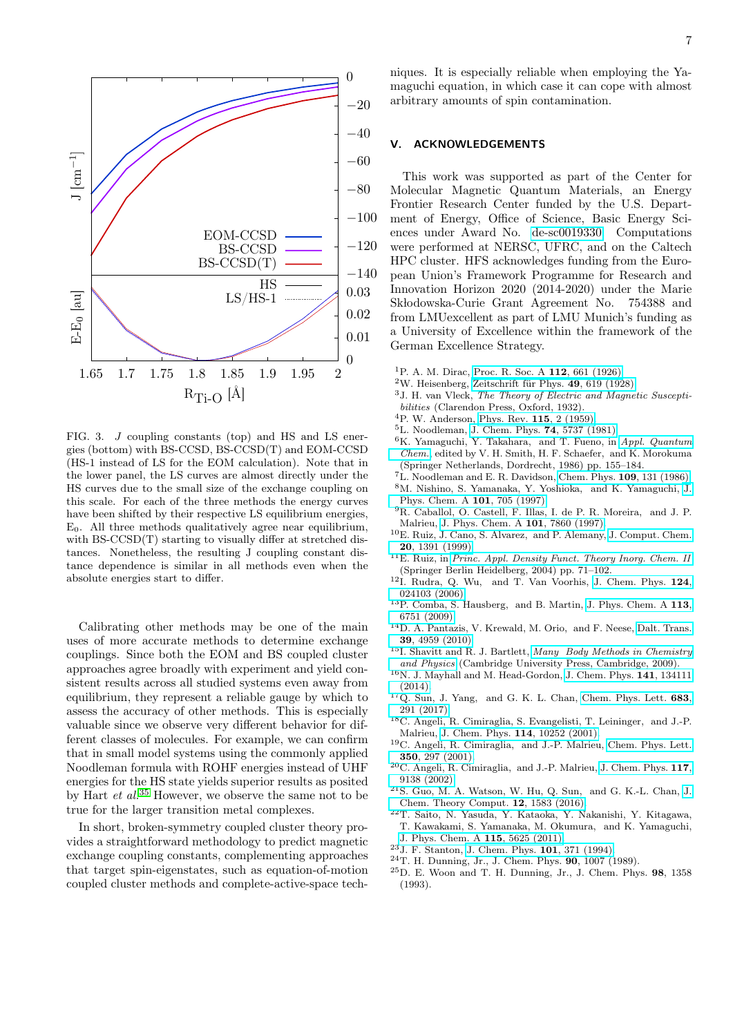

<span id="page-6-16"></span>FIG. 3. J coupling constants (top) and HS and LS energies (bottom) with BS-CCSD, BS-CCSD(T) and EOM-CCSD (HS-1 instead of LS for the EOM calculation). Note that in the lower panel, the LS curves are almost directly under the HS curves due to the small size of the exchange coupling on this scale. For each of the three methods the energy curves have been shifted by their respective LS equilibrium energies,  $E_0$ . All three methods qualitatively agree near equilibrium, with BS-CCSD(T) starting to visually differ at stretched distances. Nonetheless, the resulting J coupling constant distance dependence is similar in all methods even when the absolute energies start to differ.

Calibrating other methods may be one of the main uses of more accurate methods to determine exchange couplings. Since both the EOM and BS coupled cluster approaches agree broadly with experiment and yield consistent results across all studied systems even away from equilibrium, they represent a reliable gauge by which to assess the accuracy of other methods. This is especially valuable since we observe very different behavior for different classes of molecules. For example, we can confirm that in small model systems using the commonly applied Noodleman formula with ROHF energies instead of UHF energies for the HS state yields superior results as posited by Hart *et al.*<sup>[35](#page-7-9)</sup> However, we observe the same not to be true for the larger transition metal complexes.

In short, broken-symmetry coupled cluster theory provides a straightforward methodology to predict magnetic exchange coupling constants, complementing approaches that target spin-eigenstates, such as equation-of-motion coupled cluster methods and complete-active-space techniques. It is especially reliable when employing the Yamaguchi equation, in which case it can cope with almost arbitrary amounts of spin contamination.

### V. ACKNOWLEDGEMENTS

This work was supported as part of the Center for Molecular Magnetic Quantum Materials, an Energy Frontier Research Center funded by the U.S. Department of Energy, Office of Science, Basic Energy Sciences under Award No. [de-sc0019330.](http://arxiv.org/abs/de-sc/0019330) Computations were performed at NERSC, UFRC, and on the Caltech HPC cluster. HFS acknowledges funding from the European Union's Framework Programme for Research and Innovation Horizon 2020 (2014-2020) under the Marie Sk lodowska-Curie Grant Agreement No. 754388 and from LMUexcellent as part of LMU Munich's funding as a University of Excellence within the framework of the German Excellence Strategy.

- <span id="page-6-0"></span><sup>1</sup>P. A. M. Dirac, [Proc. R. Soc. A](http://dx.doi.org/10.1098/rspa.1926.0133) 112, 661 (1926).
- $2W$ . Heisenberg, Zeitschrift für Phys. 49, 619 (1928).
- <span id="page-6-1"></span><sup>3</sup>J. H. van Vleck, The Theory of Electric and Magnetic Susceptibilities (Clarendon Press, Oxford, 1932).
- <span id="page-6-2"></span><sup>4</sup>P. W. Anderson, [Phys. Rev.](http://dx.doi.org/10.1103/PhysRev.115.2) 115, 2 (1959).
- <span id="page-6-3"></span><sup>5</sup>L. Noodleman, [J. Chem. Phys.](http://dx.doi.org/10.1063/1.440939) 74, 5737 (1981).
- <span id="page-6-4"></span> ${}^{6}$ K. Yamaguchi, Y. Takahara, and T. Fueno, in [Appl. Quantum](http://dx.doi.org/10.1007/978-94-009-4746-7_11) [Chem.](http://dx.doi.org/10.1007/978-94-009-4746-7_11), edited by V. H. Smith, H. F. Schaefer, and K. Morokuma (Springer Netherlands, Dordrecht, 1986) pp. 155–184.
- <span id="page-6-5"></span><sup>7</sup>L. Noodleman and E. R. Davidson, [Chem. Phys.](http://dx.doi.org/10.1016/0301-0104(86)80192-6) 109, 131 (1986).
- <sup>8</sup>M. Nishino, S. Yamanaka, Y. Yoshioka, and K. Yamaguchi, [J.](http://dx.doi.org/10.1021/jp962091l) [Phys. Chem. A](http://dx.doi.org/10.1021/jp962091l) 101, 705 (1997).
- <sup>9</sup>R. Caballol, O. Castell, F. Illas, I. de P. R. Moreira, and J. P. Malrieu, [J. Phys. Chem. A](http://dx.doi.org/10.1021/jp9711757) 101, 7860 (1997).
- <sup>10</sup>E. Ruiz, J. Cano, S. Alvarez, and P. Alemany, [J. Comput. Chem.](http://dx.doi.org/ 10.1002/(SICI)1096-987X(199910)20:13<1391::AID-JCC6>3.0.CO;2-J) 20[, 1391 \(1999\).](http://dx.doi.org/ 10.1002/(SICI)1096-987X(199910)20:13<1391::AID-JCC6>3.0.CO;2-J)
- <sup>11</sup>E. Ruiz, in [Princ. Appl. Density Funct. Theory Inorg. Chem. II](http://dx.doi.org/10.1007/b97942) (Springer Berlin Heidelberg, 2004) pp. 71–102.
- <sup>12</sup>I. Rudra, Q. Wu, and T. Van Voorhis, [J. Chem. Phys.](http://dx.doi.org/10.1063/1.2145878) 124, [024103 \(2006\).](http://dx.doi.org/10.1063/1.2145878)
- <sup>13</sup>P. Comba, S. Hausberg, and B. Martin, [J. Phys. Chem. A](http://dx.doi.org/10.1021/jp900752p) 113, [6751 \(2009\).](http://dx.doi.org/10.1021/jp900752p)
- <span id="page-6-6"></span><sup>14</sup>D. A. Pantazis, V. Krewald, M. Orio, and F. Neese, [Dalt. Trans.](http://dx.doi.org/ 10.1039/c001286f) 39[, 4959 \(2010\).](http://dx.doi.org/ 10.1039/c001286f)
- <span id="page-6-7"></span> $^{15}$ I. Shavitt and R. J. Bartlett, [Many Body Methods in Chemistry](http://dx.doi.org/10.1017/CBO9780511596834) [and Physics](http://dx.doi.org/10.1017/CBO9780511596834) (Cambridge University Press, Cambridge, 2009).
- <span id="page-6-8"></span><sup>16</sup>N. J. Mayhall and M. Head-Gordon, [J. Chem. Phys.](http://dx.doi.org/10.1063/1.4896659) 141, 134111 [\(2014\).](http://dx.doi.org/10.1063/1.4896659)
- <span id="page-6-9"></span> $17Q.$  Sun, J. Yang, and G. K. L. Chan, [Chem. Phys. Lett.](http://dx.doi.org/10.1016/j.cplett.2017.03.004) 683, [291 \(2017\).](http://dx.doi.org/10.1016/j.cplett.2017.03.004)
- <span id="page-6-10"></span><sup>18</sup>C. Angeli, R. Cimiraglia, S. Evangelisti, T. Leininger, and J.-P. Malrieu, [J. Chem. Phys.](http://dx.doi.org/ 10.1063/1.1361246) 114, 10252 (2001).
- <sup>19</sup>C. Angeli, R. Cimiraglia, and J.-P. Malrieu, [Chem. Phys. Lett.](http://dx.doi.org/10.1016/S0009-2614(01)01303-3) 350[, 297 \(2001\).](http://dx.doi.org/10.1016/S0009-2614(01)01303-3)
- <sup>20</sup>C. Angeli, R. Cimiraglia, and J.-P. Malrieu, [J. Chem. Phys.](http://dx.doi.org/10.1063/1.1515317) 117, [9138 \(2002\).](http://dx.doi.org/10.1063/1.1515317)
- <span id="page-6-11"></span> $21$ S. Guo, M. A. Watson, W. Hu, Q. Sun, and G. K.-L. Chan, [J.](http://dx.doi.org/ 10.1021/acs.jctc.5b01225) [Chem. Theory Comput.](http://dx.doi.org/ 10.1021/acs.jctc.5b01225) 12, 1583 (2016).
- <span id="page-6-12"></span> $^{22}\mathrm{T}.$  Saito, N. Yasuda, Y. Kataoka, Y. Nakanishi, Y. Kitagawa, T. Kawakami, S. Yamanaka, M. Okumura, and K. Yamaguchi,
- <span id="page-6-13"></span>[J. Phys. Chem. A](http://dx.doi.org/ 10.1021/jp201463h) 115, 5625 (2011). <sup>23</sup>J. F. Stanton, [J. Chem. Phys.](http://dx.doi.org/10.1063/1.468144) 101, 371 (1994).
- <span id="page-6-14"></span><sup>24</sup>T. H. Dunning, Jr., J. Chem. Phys. 90, 1007 (1989).
- <span id="page-6-15"></span><sup>25</sup>D. E. Woon and T. H. Dunning, Jr., J. Chem. Phys. 98, 1358 (1993).